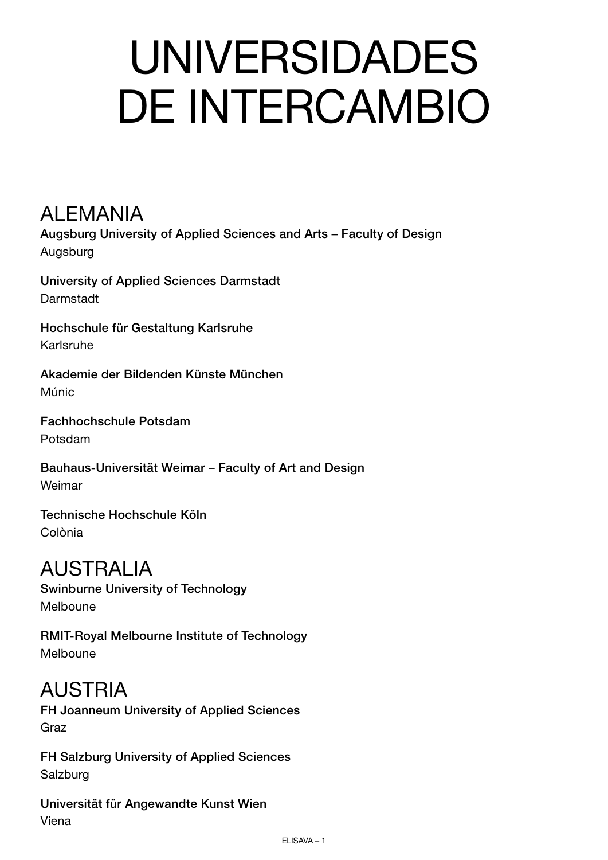# UNIVERSIDADES DE INTERCAMBIO

#### **ALEMANIA**

Augsburg University of Applied Sciences and Arts – Faculty of Design Augsburg

University of Applied Sciences Darmstadt Darmstadt

Hochschule für Gestaltung Karlsruhe Karlsruhe

Akademie der Bildenden Künste München Múnic

Fachhochschule Potsdam Potsdam

Bauhaus-Universität Weimar – Faculty of Art and Design Weimar

Technische Hochschule Köln Colònia

# AUSTRALIA

Swinburne University of Technology Melboune

RMIT-Royal Melbourne Institute of Technology Melboune

#### AUSTRIA

FH Joanneum University of Applied Sciences Graz

FH Salzburg University of Applied Sciences Salzburg

Universität für Angewandte Kunst Wien Viena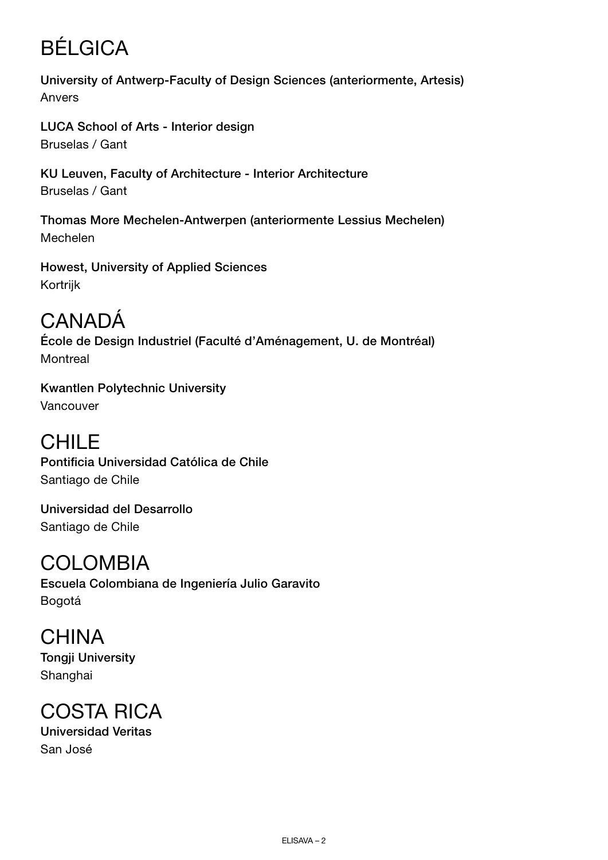# BÉLGICA

University of Antwerp-Faculty of Design Sciences (anteriormente, Artesis) Anvers

LUCA School of Arts - Interior design Bruselas / Gant

KU Leuven, Faculty of Architecture - Interior Architecture Bruselas / Gant

Thomas More Mechelen-Antwerpen (anteriormente Lessius Mechelen) Mechelen

Howest, University of Applied Sciences Kortrijk

# CANADÁ

École de Design Industriel (Faculté d'Aménagement, U. de Montréal) **Montreal** 

Kwantlen Polytechnic University Vancouver

CHILE Pontificia Universidad Católica de Chile Santiago de Chile

Universidad del Desarrollo Santiago de Chile

# COLOMBIA

Escuela Colombiana de Ingeniería Julio Garavito Bogotá

**CHINA** Tongji University Shanghai

# COSTA RICA

Universidad Veritas San José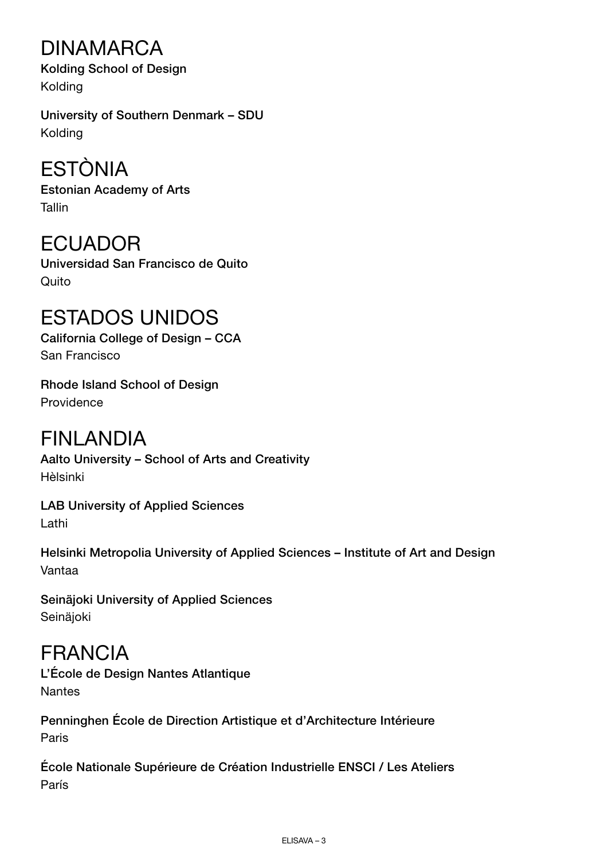# DINAMARCA

Kolding School of Design Kolding

University of Southern Denmark – SDU Kolding

# ESTÒNIA

Estonian Academy of Arts Tallin

# ECUADOR

Universidad San Francisco de Quito Quito

# ESTADOS UNIDOS

California College of Design – CCA San Francisco

Rhode Island School of Design Providence

# FINLANDIA

Aalto University – School of Arts and Creativity Hèlsinki

LAB University of Applied Sciences Lathi

Helsinki Metropolia University of Applied Sciences – Institute of Art and Design Vantaa

Seinäjoki University of Applied Sciences **Seinäioki** 

FRANCIA L'École de Design Nantes Atlantique **Nantes** 

Penninghen École de Direction Artistique et d'Architecture Intérieure Paris

École Nationale Supérieure de Création Industrielle ENSCI / Les Ateliers París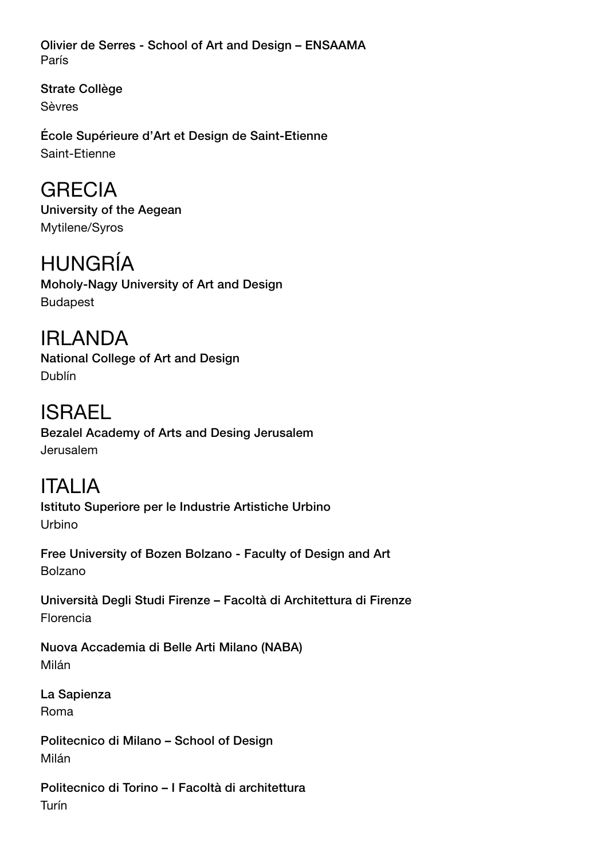Olivier de Serres - School of Art and Design – ENSAAMA París

Strate Collège Sèvres

École Supérieure d'Art et Design de Saint-Etienne Saint-Etienne

GRECIA University of the Aegean Mytilene/Syros

HUNGRÍA Moholy-Nagy University of Art and Design Budapest

IRLANDA National College of Art and Design Dublín

ISRAEL Bezalel Academy of Arts and Desing Jerusalem Jerusalem

ITALIA Istituto Superiore per le Industrie Artistiche Urbino Urbino

Free University of Bozen Bolzano - Faculty of Design and Art Bolzano

Università Degli Studi Firenze – Facoltà di Architettura di Firenze Florencia

Nuova Accademia di Belle Arti Milano (NABA) Milán

La Sapienza Roma

Politecnico di Milano – School of Design Milán

Politecnico di Torino – I Facoltà di architettura Turín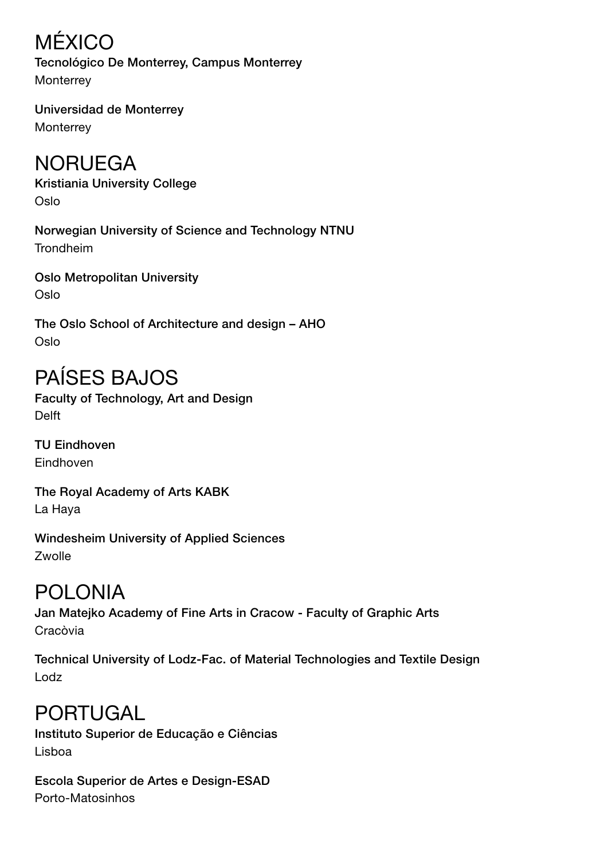MÉXICO Tecnológico De Monterrey, Campus Monterrey **Monterrey** 

Universidad de Monterrey **Monterrey** 

# NORUEGA

Kristiania University College Oslo

Norwegian University of Science and Technology NTNU Trondheim

Oslo Metropolitan University Oslo

The Oslo School of Architecture and design – AHO Oslo

# PAÍSES BAJOS

Faculty of Technology, Art and Design Delft

TU Eindhoven **Eindhoven** 

The Royal Academy of Arts KABK La Haya

Windesheim University of Applied Sciences Zwolle

#### POLONIA

Jan Matejko Academy of Fine Arts in Cracow - Faculty of Graphic Arts Cracòvia

Technical University of Lodz-Fac. of Material Technologies and Textile Design Lodz

# PORTUGAL

Instituto Superior de Educação e Ciências Lisboa

Escola Superior de Artes e Design-ESAD Porto-Matosinhos